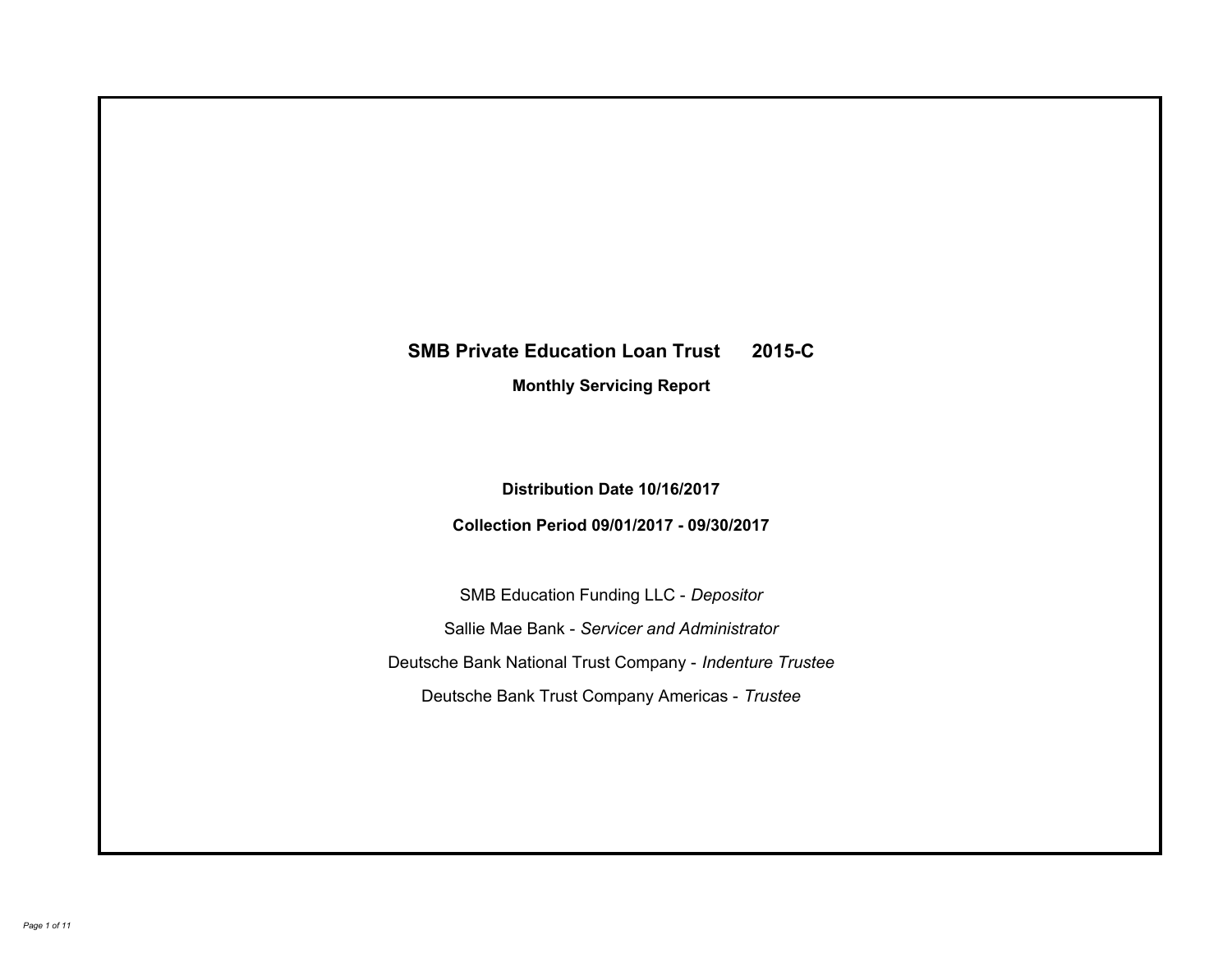# **SMB Private Education Loan Trust 2015-C Monthly Servicing Report**

**Distribution Date 10/16/2017**

**Collection Period 09/01/2017 - 09/30/2017**

SMB Education Funding LLC - *Depositor* Sallie Mae Bank - *Servicer and Administrator* Deutsche Bank National Trust Company - *Indenture Trustee* Deutsche Bank Trust Company Americas - *Trustee*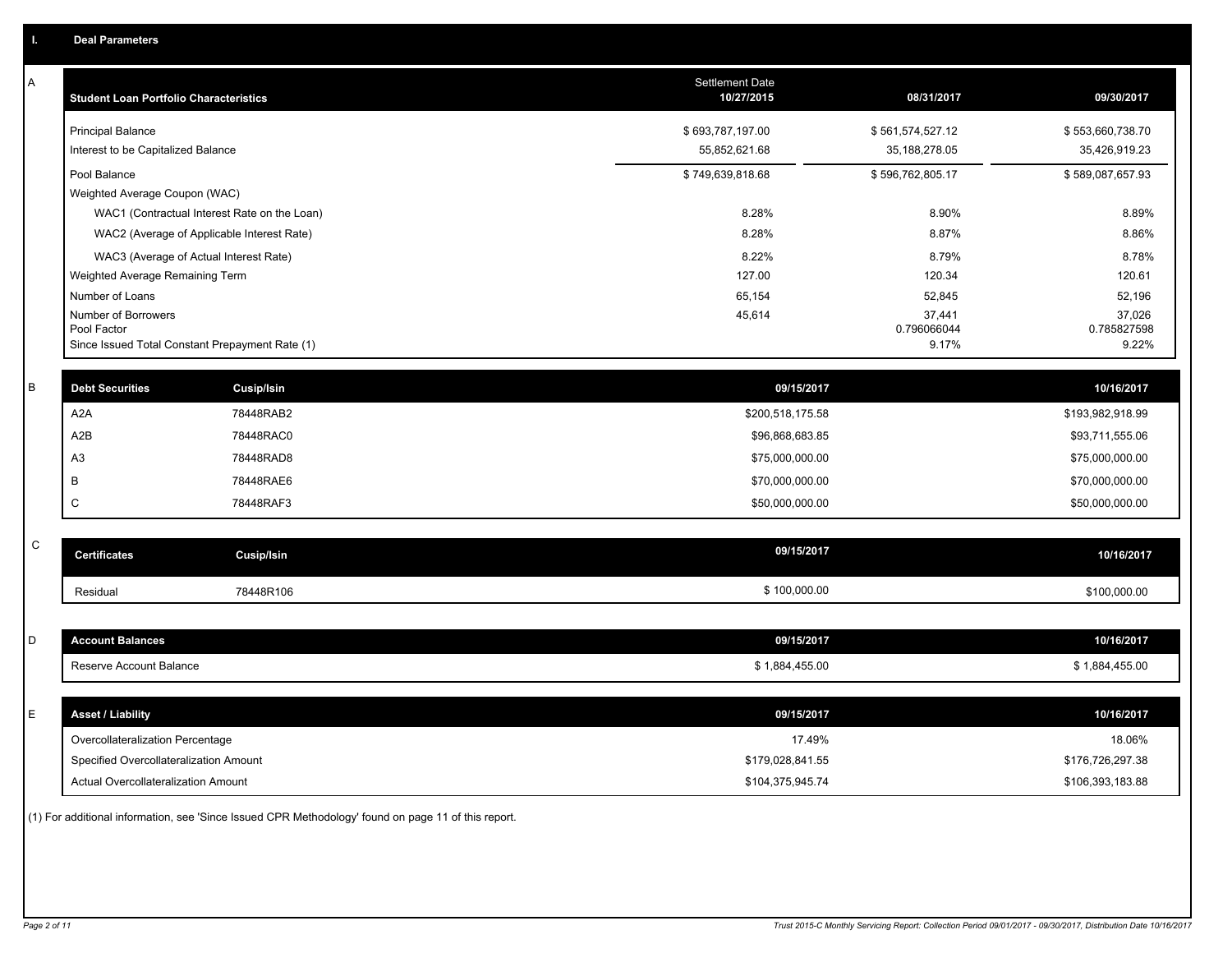| A           | <b>Student Loan Portfolio Characteristics</b>   |                                              | Settlement Date<br>10/27/2015 | 08/31/2017           | 09/30/2017           |
|-------------|-------------------------------------------------|----------------------------------------------|-------------------------------|----------------------|----------------------|
|             | <b>Principal Balance</b>                        |                                              | \$693,787,197.00              | \$561,574,527.12     | \$553,660,738.70     |
|             | Interest to be Capitalized Balance              |                                              | 55,852,621.68                 | 35, 188, 278.05      | 35,426,919.23        |
|             | Pool Balance                                    |                                              | \$749,639,818.68              | \$596,762,805.17     | \$589,087,657.93     |
|             | Weighted Average Coupon (WAC)                   |                                              |                               |                      |                      |
|             |                                                 | WAC1 (Contractual Interest Rate on the Loan) | 8.28%                         | 8.90%                | 8.89%                |
|             |                                                 | WAC2 (Average of Applicable Interest Rate)   | 8.28%                         | 8.87%                | 8.86%                |
|             | WAC3 (Average of Actual Interest Rate)          |                                              | 8.22%                         | 8.79%                | 8.78%                |
|             | Weighted Average Remaining Term                 |                                              | 127.00                        | 120.34               | 120.61               |
|             | Number of Loans                                 |                                              | 65,154                        | 52,845               | 52,196               |
|             | Number of Borrowers<br>Pool Factor              |                                              | 45,614                        | 37,441               | 37,026               |
|             | Since Issued Total Constant Prepayment Rate (1) |                                              |                               | 0.796066044<br>9.17% | 0.785827598<br>9.22% |
|             |                                                 |                                              |                               |                      |                      |
| B           | <b>Debt Securities</b>                          | Cusip/Isin                                   | 09/15/2017                    |                      | 10/16/2017           |
|             | A <sub>2</sub> A                                | 78448RAB2                                    | \$200,518,175.58              |                      | \$193,982,918.99     |
|             | A <sub>2</sub> B                                | 78448RAC0                                    | \$96,868,683.85               |                      | \$93,711,555.06      |
|             | A3                                              | 78448RAD8                                    | \$75,000,000.00               |                      | \$75,000,000.00      |
|             | B                                               | 78448RAE6                                    | \$70,000,000.00               |                      | \$70,000,000.00      |
|             | C                                               | 78448RAF3                                    | \$50,000,000.00               |                      | \$50,000,000.00      |
| $\mathsf C$ |                                                 |                                              |                               |                      |                      |
|             | <b>Certificates</b>                             | Cusip/Isin                                   | 09/15/2017                    |                      | 10/16/2017           |
|             | Residual                                        | 78448R106                                    | \$100,000.00                  |                      | \$100,000.00         |
|             |                                                 |                                              |                               |                      |                      |
| D           | <b>Account Balances</b>                         |                                              | 09/15/2017                    |                      | 10/16/2017           |
|             | Reserve Account Balance                         |                                              | \$1,884,455.00                |                      | \$1,884,455.00       |
|             |                                                 |                                              |                               |                      |                      |
| E           | <b>Asset / Liability</b>                        |                                              | 09/15/2017                    |                      | 10/16/2017           |
|             | Overcollateralization Percentage                |                                              | 17.49%                        |                      | 18.06%               |
|             | Specified Overcollateralization Amount          |                                              | \$179,028,841.55              |                      | \$176,726,297.38     |
|             | Actual Overcollateralization Amount             |                                              | \$104,375,945.74              |                      | \$106,393,183.88     |
|             |                                                 |                                              |                               |                      |                      |

(1) For additional information, see 'Since Issued CPR Methodology' found on page 11 of this report.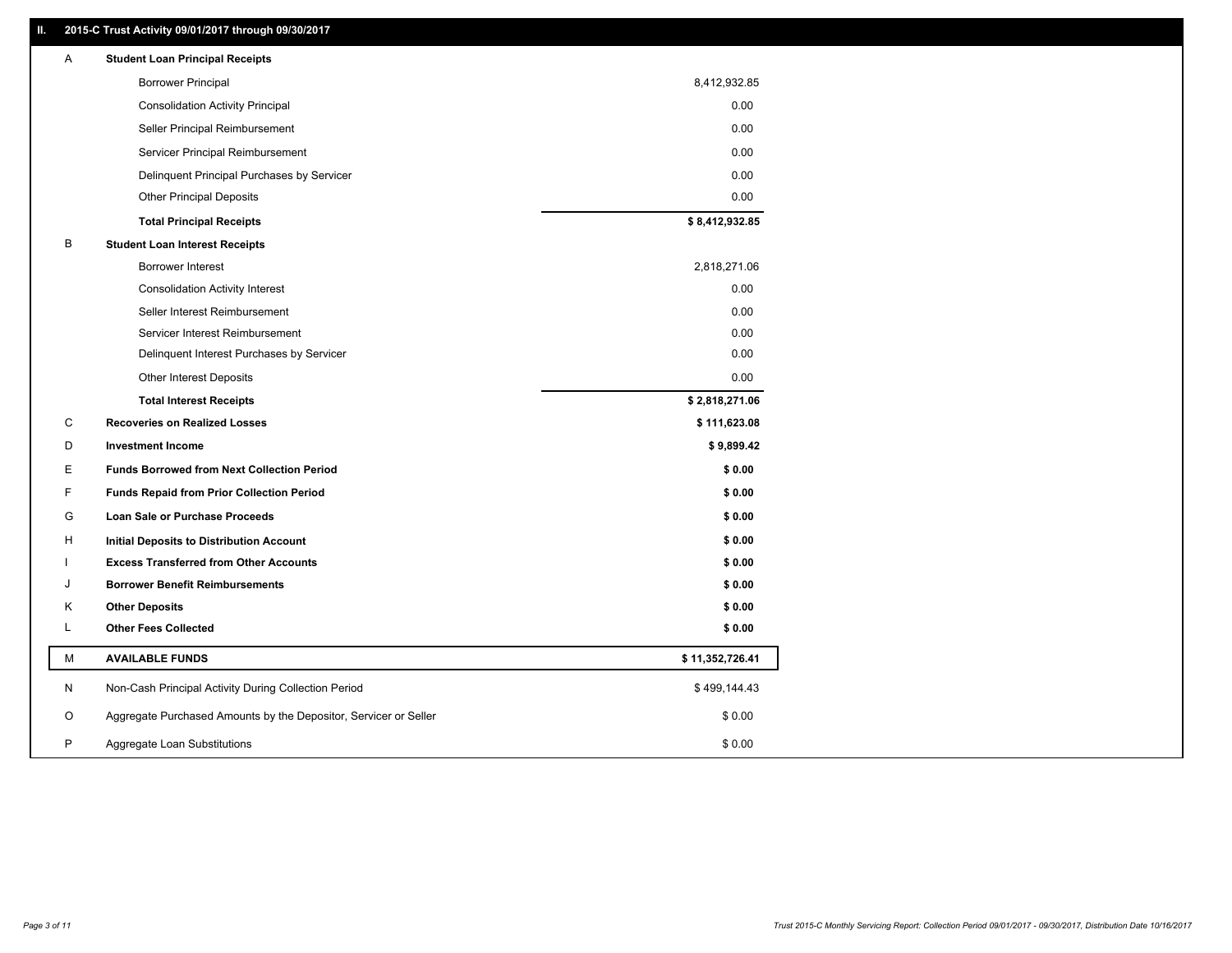# **II. 2015-C Trust Activity 09/01/2017 through 09/30/2017**

| <b>Borrower Principal</b><br>8,412,932.85<br>0.00<br><b>Consolidation Activity Principal</b><br>0.00<br>Seller Principal Reimbursement<br>0.00<br>Servicer Principal Reimbursement<br>0.00<br>Delinquent Principal Purchases by Servicer<br>0.00<br><b>Other Principal Deposits</b><br>\$8,412,932.85<br><b>Total Principal Receipts</b><br>В<br><b>Student Loan Interest Receipts</b><br>2,818,271.06<br><b>Borrower Interest</b><br>0.00<br><b>Consolidation Activity Interest</b><br>Seller Interest Reimbursement<br>0.00<br>Servicer Interest Reimbursement<br>0.00<br>0.00<br>Delinquent Interest Purchases by Servicer<br>0.00<br><b>Other Interest Deposits</b><br>\$2,818,271.06<br><b>Total Interest Receipts</b> |  |
|-----------------------------------------------------------------------------------------------------------------------------------------------------------------------------------------------------------------------------------------------------------------------------------------------------------------------------------------------------------------------------------------------------------------------------------------------------------------------------------------------------------------------------------------------------------------------------------------------------------------------------------------------------------------------------------------------------------------------------|--|
|                                                                                                                                                                                                                                                                                                                                                                                                                                                                                                                                                                                                                                                                                                                             |  |
|                                                                                                                                                                                                                                                                                                                                                                                                                                                                                                                                                                                                                                                                                                                             |  |
|                                                                                                                                                                                                                                                                                                                                                                                                                                                                                                                                                                                                                                                                                                                             |  |
|                                                                                                                                                                                                                                                                                                                                                                                                                                                                                                                                                                                                                                                                                                                             |  |
|                                                                                                                                                                                                                                                                                                                                                                                                                                                                                                                                                                                                                                                                                                                             |  |
|                                                                                                                                                                                                                                                                                                                                                                                                                                                                                                                                                                                                                                                                                                                             |  |
|                                                                                                                                                                                                                                                                                                                                                                                                                                                                                                                                                                                                                                                                                                                             |  |
|                                                                                                                                                                                                                                                                                                                                                                                                                                                                                                                                                                                                                                                                                                                             |  |
|                                                                                                                                                                                                                                                                                                                                                                                                                                                                                                                                                                                                                                                                                                                             |  |
|                                                                                                                                                                                                                                                                                                                                                                                                                                                                                                                                                                                                                                                                                                                             |  |
|                                                                                                                                                                                                                                                                                                                                                                                                                                                                                                                                                                                                                                                                                                                             |  |
|                                                                                                                                                                                                                                                                                                                                                                                                                                                                                                                                                                                                                                                                                                                             |  |
|                                                                                                                                                                                                                                                                                                                                                                                                                                                                                                                                                                                                                                                                                                                             |  |
|                                                                                                                                                                                                                                                                                                                                                                                                                                                                                                                                                                                                                                                                                                                             |  |
|                                                                                                                                                                                                                                                                                                                                                                                                                                                                                                                                                                                                                                                                                                                             |  |
| С<br><b>Recoveries on Realized Losses</b><br>\$111,623.08                                                                                                                                                                                                                                                                                                                                                                                                                                                                                                                                                                                                                                                                   |  |
| \$9,899.42<br>D<br><b>Investment Income</b>                                                                                                                                                                                                                                                                                                                                                                                                                                                                                                                                                                                                                                                                                 |  |
| Е<br><b>Funds Borrowed from Next Collection Period</b><br>\$0.00                                                                                                                                                                                                                                                                                                                                                                                                                                                                                                                                                                                                                                                            |  |
| F<br>\$0.00<br><b>Funds Repaid from Prior Collection Period</b>                                                                                                                                                                                                                                                                                                                                                                                                                                                                                                                                                                                                                                                             |  |
| G<br>\$0.00<br>Loan Sale or Purchase Proceeds                                                                                                                                                                                                                                                                                                                                                                                                                                                                                                                                                                                                                                                                               |  |
| \$0.00<br>H<br><b>Initial Deposits to Distribution Account</b>                                                                                                                                                                                                                                                                                                                                                                                                                                                                                                                                                                                                                                                              |  |
| \$0.00<br><b>Excess Transferred from Other Accounts</b>                                                                                                                                                                                                                                                                                                                                                                                                                                                                                                                                                                                                                                                                     |  |
| \$0.00<br>J<br><b>Borrower Benefit Reimbursements</b>                                                                                                                                                                                                                                                                                                                                                                                                                                                                                                                                                                                                                                                                       |  |
| \$0.00<br>Κ<br><b>Other Deposits</b>                                                                                                                                                                                                                                                                                                                                                                                                                                                                                                                                                                                                                                                                                        |  |
| L<br><b>Other Fees Collected</b><br>\$0.00                                                                                                                                                                                                                                                                                                                                                                                                                                                                                                                                                                                                                                                                                  |  |
| М<br><b>AVAILABLE FUNDS</b><br>\$11,352,726.41                                                                                                                                                                                                                                                                                                                                                                                                                                                                                                                                                                                                                                                                              |  |
| N<br>Non-Cash Principal Activity During Collection Period<br>\$499,144.43                                                                                                                                                                                                                                                                                                                                                                                                                                                                                                                                                                                                                                                   |  |
| Aggregate Purchased Amounts by the Depositor, Servicer or Seller<br>\$0.00<br>O                                                                                                                                                                                                                                                                                                                                                                                                                                                                                                                                                                                                                                             |  |
| P<br>Aggregate Loan Substitutions<br>\$0.00                                                                                                                                                                                                                                                                                                                                                                                                                                                                                                                                                                                                                                                                                 |  |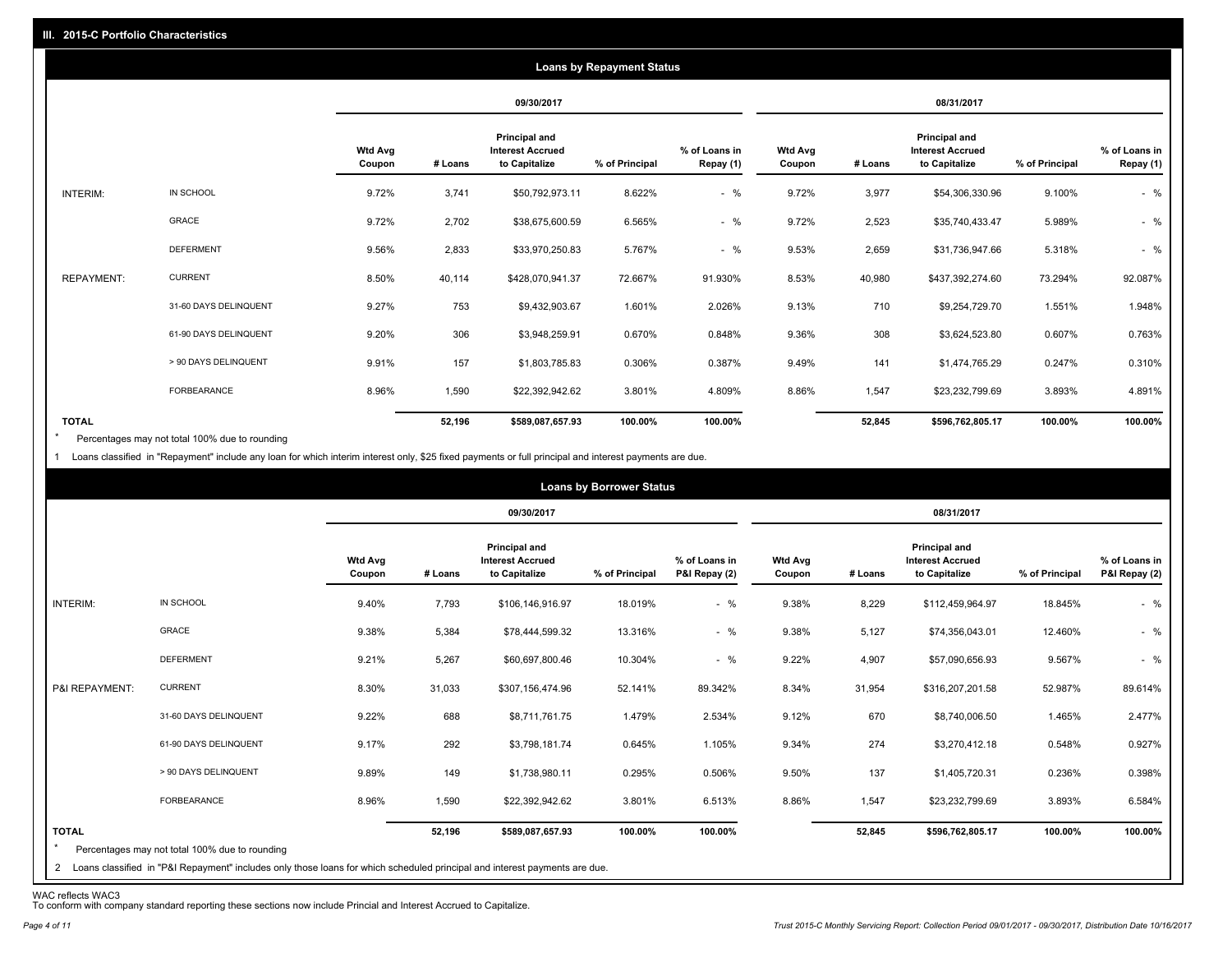|                   |                       |                          |         |                                                           | <b>Loans by Repayment Status</b> |                            |                          |         |                                                                  |                |                            |
|-------------------|-----------------------|--------------------------|---------|-----------------------------------------------------------|----------------------------------|----------------------------|--------------------------|---------|------------------------------------------------------------------|----------------|----------------------------|
|                   |                       |                          |         | 09/30/2017                                                |                                  |                            |                          |         | 08/31/2017                                                       |                |                            |
|                   |                       | <b>Wtd Avg</b><br>Coupon | # Loans | Principal and<br><b>Interest Accrued</b><br>to Capitalize | % of Principal                   | % of Loans in<br>Repay (1) | <b>Wtd Avg</b><br>Coupon | # Loans | <b>Principal and</b><br><b>Interest Accrued</b><br>to Capitalize | % of Principal | % of Loans in<br>Repay (1) |
| INTERIM:          | IN SCHOOL             | 9.72%                    | 3,741   | \$50,792,973.11                                           | 8.622%                           | $-$ %                      | 9.72%                    | 3,977   | \$54,306,330.96                                                  | 9.100%         | $-$ %                      |
|                   | GRACE                 | 9.72%                    | 2,702   | \$38,675,600.59                                           | 6.565%                           | $-$ %                      | 9.72%                    | 2,523   | \$35,740,433.47                                                  | 5.989%         | $-$ %                      |
|                   | <b>DEFERMENT</b>      | 9.56%                    | 2,833   | \$33,970,250.83                                           | 5.767%                           | $-$ %                      | 9.53%                    | 2,659   | \$31,736,947.66                                                  | 5.318%         | $-$ %                      |
| <b>REPAYMENT:</b> | <b>CURRENT</b>        | 8.50%                    | 40,114  | \$428,070,941.37                                          | 72.667%                          | 91.930%                    | 8.53%                    | 40,980  | \$437,392,274.60                                                 | 73.294%        | 92.087%                    |
|                   | 31-60 DAYS DELINQUENT | 9.27%                    | 753     | \$9,432,903.67                                            | 1.601%                           | 2.026%                     | 9.13%                    | 710     | \$9,254,729.70                                                   | 1.551%         | 1.948%                     |
|                   | 61-90 DAYS DELINQUENT | 9.20%                    | 306     | \$3,948,259.91                                            | 0.670%                           | 0.848%                     | 9.36%                    | 308     | \$3,624,523.80                                                   | 0.607%         | 0.763%                     |
|                   | > 90 DAYS DELINQUENT  | 9.91%                    | 157     | \$1,803,785.83                                            | 0.306%                           | 0.387%                     | 9.49%                    | 141     | \$1,474,765.29                                                   | 0.247%         | 0.310%                     |
|                   | FORBEARANCE           | 8.96%                    | 1,590   | \$22,392,942.62                                           | 3.801%                           | 4.809%                     | 8.86%                    | 1,547   | \$23,232,799.69                                                  | 3.893%         | 4.891%                     |
| <b>TOTAL</b>      |                       |                          | 52,196  | \$589,087,657.93                                          | 100.00%                          | 100.00%                    |                          | 52,845  | \$596,762,805.17                                                 | 100.00%        | 100.00%                    |

Percentages may not total 100% due to rounding  $\star$ 

1 Loans classified in "Repayment" include any loan for which interim interest only, \$25 fixed payments or full principal and interest payments are due.

|                         |                                                                                                                                                                                |                   |         |                                                           | <b>Loans by Borrower Status</b> |                                |                          |         |                                                                  |                |                                |
|-------------------------|--------------------------------------------------------------------------------------------------------------------------------------------------------------------------------|-------------------|---------|-----------------------------------------------------------|---------------------------------|--------------------------------|--------------------------|---------|------------------------------------------------------------------|----------------|--------------------------------|
|                         |                                                                                                                                                                                |                   |         | 09/30/2017                                                |                                 |                                |                          |         | 08/31/2017                                                       |                |                                |
|                         |                                                                                                                                                                                | Wtd Avg<br>Coupon | # Loans | Principal and<br><b>Interest Accrued</b><br>to Capitalize | % of Principal                  | % of Loans in<br>P&I Repay (2) | <b>Wtd Avg</b><br>Coupon | # Loans | <b>Principal and</b><br><b>Interest Accrued</b><br>to Capitalize | % of Principal | % of Loans in<br>P&I Repay (2) |
| INTERIM:                | IN SCHOOL                                                                                                                                                                      | 9.40%             | 7,793   | \$106,146,916.97                                          | 18.019%                         | $-$ %                          | 9.38%                    | 8,229   | \$112,459,964.97                                                 | 18.845%        | $-$ %                          |
|                         | GRACE                                                                                                                                                                          | 9.38%             | 5,384   | \$78,444,599.32                                           | 13.316%                         | $-$ %                          | 9.38%                    | 5,127   | \$74,356,043.01                                                  | 12.460%        | $-$ %                          |
|                         | <b>DEFERMENT</b>                                                                                                                                                               | 9.21%             | 5,267   | \$60,697,800.46                                           | 10.304%                         | $-$ %                          | 9.22%                    | 4,907   | \$57,090,656.93                                                  | 9.567%         | $-$ %                          |
| P&I REPAYMENT:          | <b>CURRENT</b>                                                                                                                                                                 | 8.30%             | 31,033  | \$307,156,474.96                                          | 52.141%                         | 89.342%                        | 8.34%                    | 31,954  | \$316,207,201.58                                                 | 52.987%        | 89.614%                        |
|                         | 31-60 DAYS DELINQUENT                                                                                                                                                          | 9.22%             | 688     | \$8,711,761.75                                            | 1.479%                          | 2.534%                         | 9.12%                    | 670     | \$8,740,006.50                                                   | 1.465%         | 2.477%                         |
|                         | 61-90 DAYS DELINQUENT                                                                                                                                                          | 9.17%             | 292     | \$3,798,181.74                                            | 0.645%                          | 1.105%                         | 9.34%                    | 274     | \$3,270,412.18                                                   | 0.548%         | 0.927%                         |
|                         | > 90 DAYS DELINQUENT                                                                                                                                                           | 9.89%             | 149     | \$1,738,980.11                                            | 0.295%                          | 0.506%                         | 9.50%                    | 137     | \$1,405,720.31                                                   | 0.236%         | 0.398%                         |
|                         | <b>FORBEARANCE</b>                                                                                                                                                             | 8.96%             | 1,590   | \$22,392,942.62                                           | 3.801%                          | 6.513%                         | 8.86%                    | 1,547   | \$23,232,799.69                                                  | 3.893%         | 6.584%                         |
| <b>TOTAL</b><br>$\star$ | Percentages may not total 100% due to rounding<br>2 Loans classified in "P&I Repayment" includes only those loans for which scheduled principal and interest payments are due. |                   | 52,196  | \$589,087,657.93                                          | 100.00%                         | 100.00%                        |                          | 52,845  | \$596,762,805.17                                                 | 100.00%        | 100.00%                        |

WAC reflects WAC3 To conform with company standard reporting these sections now include Princial and Interest Accrued to Capitalize.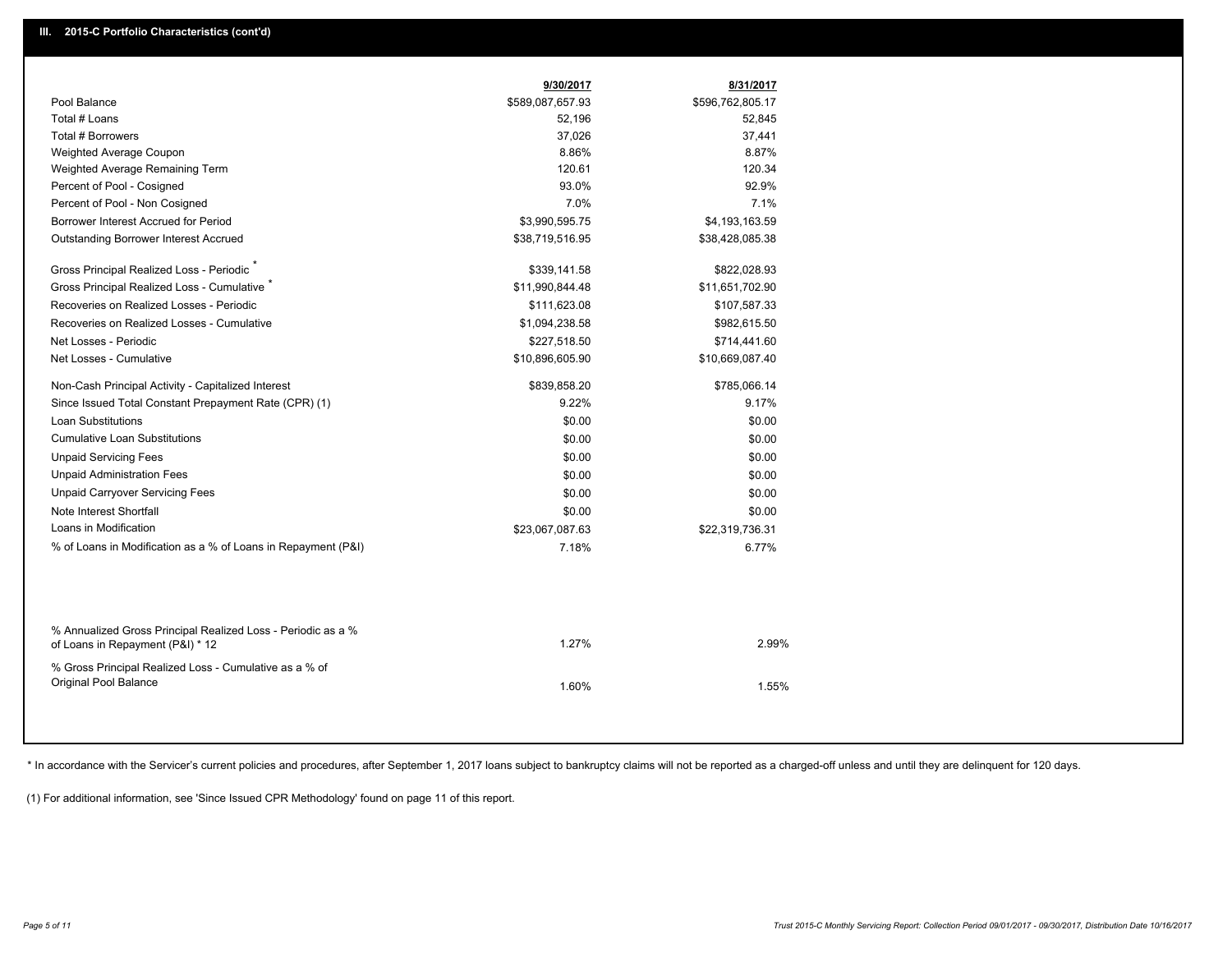|                                                                                                  | 9/30/2017        | 8/31/2017        |
|--------------------------------------------------------------------------------------------------|------------------|------------------|
| Pool Balance                                                                                     | \$589,087,657.93 | \$596,762,805.17 |
| Total # Loans                                                                                    | 52,196           | 52,845           |
| <b>Total # Borrowers</b>                                                                         | 37,026           | 37,441           |
| Weighted Average Coupon                                                                          | 8.86%            | 8.87%            |
| Weighted Average Remaining Term                                                                  | 120.61           | 120.34           |
| Percent of Pool - Cosigned                                                                       | 93.0%            | 92.9%            |
| Percent of Pool - Non Cosigned                                                                   | 7.0%             | 7.1%             |
| Borrower Interest Accrued for Period                                                             | \$3,990,595.75   | \$4,193,163.59   |
| <b>Outstanding Borrower Interest Accrued</b>                                                     | \$38,719,516.95  | \$38,428,085.38  |
| Gross Principal Realized Loss - Periodic                                                         | \$339,141.58     | \$822,028.93     |
| Gross Principal Realized Loss - Cumulative                                                       | \$11,990,844.48  | \$11,651,702.90  |
| Recoveries on Realized Losses - Periodic                                                         | \$111,623.08     | \$107,587.33     |
| Recoveries on Realized Losses - Cumulative                                                       | \$1,094,238.58   | \$982,615.50     |
| Net Losses - Periodic                                                                            | \$227,518.50     | \$714,441.60     |
| Net Losses - Cumulative                                                                          | \$10,896,605.90  | \$10,669,087.40  |
| Non-Cash Principal Activity - Capitalized Interest                                               | \$839,858.20     | \$785,066.14     |
| Since Issued Total Constant Prepayment Rate (CPR) (1)                                            | 9.22%            | 9.17%            |
| <b>Loan Substitutions</b>                                                                        | \$0.00           | \$0.00           |
| <b>Cumulative Loan Substitutions</b>                                                             | \$0.00           | \$0.00           |
| <b>Unpaid Servicing Fees</b>                                                                     | \$0.00           | \$0.00           |
| <b>Unpaid Administration Fees</b>                                                                | \$0.00           | \$0.00           |
| <b>Unpaid Carryover Servicing Fees</b>                                                           | \$0.00           | \$0.00           |
| Note Interest Shortfall                                                                          | \$0.00           | \$0.00           |
| Loans in Modification                                                                            | \$23,067,087.63  | \$22,319,736.31  |
| % of Loans in Modification as a % of Loans in Repayment (P&I)                                    | 7.18%            | 6.77%            |
|                                                                                                  |                  |                  |
| % Annualized Gross Principal Realized Loss - Periodic as a %<br>of Loans in Repayment (P&I) * 12 | 1.27%            | 2.99%            |
| % Gross Principal Realized Loss - Cumulative as a % of                                           |                  |                  |
| Original Pool Balance                                                                            | 1.60%            | 1.55%            |
|                                                                                                  |                  |                  |

\* In accordance with the Servicer's current policies and procedures, after September 1, 2017 loans subject to bankruptcy claims will not be reported as a charged-off unless and until they are delinquent for 120 days.

(1) For additional information, see 'Since Issued CPR Methodology' found on page 11 of this report.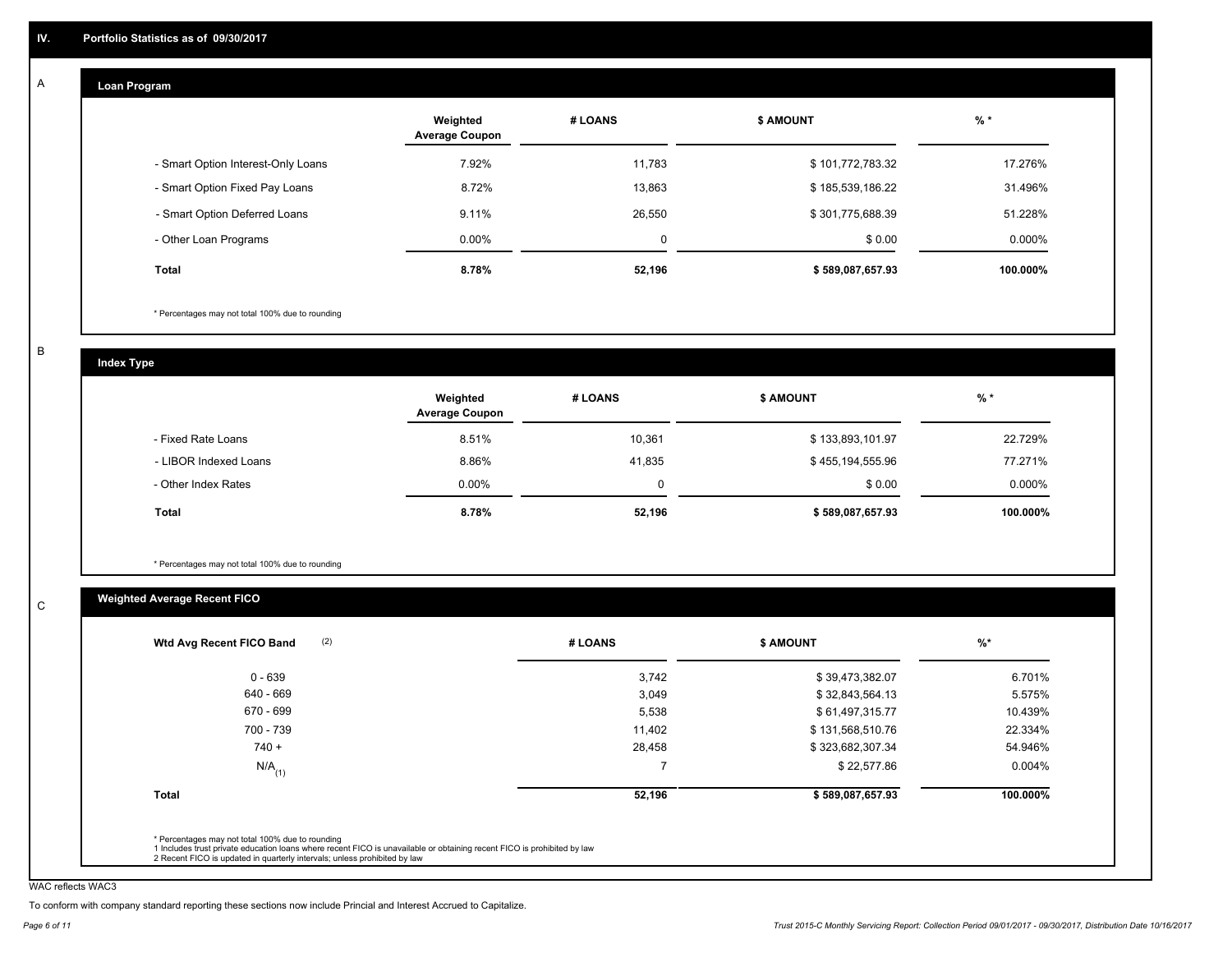#### **Loan Program**  A

|                                    | Weighted<br><b>Average Coupon</b> | # LOANS     | <b>\$ AMOUNT</b> | $%$ *    |
|------------------------------------|-----------------------------------|-------------|------------------|----------|
| - Smart Option Interest-Only Loans | 7.92%                             | 11,783      | \$101,772,783.32 | 17.276%  |
| - Smart Option Fixed Pay Loans     | 8.72%                             | 13,863      | \$185,539,186.22 | 31.496%  |
| - Smart Option Deferred Loans      | 9.11%                             | 26,550      | \$301,775,688.39 | 51.228%  |
| - Other Loan Programs              | $0.00\%$                          | $\mathbf 0$ | \$0.00           | 0.000%   |
| <b>Total</b>                       | 8.78%                             | 52,196      | \$589,087,657.93 | 100.000% |

\* Percentages may not total 100% due to rounding

B

C

**Index Type**

|                       | Weighted<br><b>Average Coupon</b> | # LOANS | <b>\$ AMOUNT</b> | $%$ *     |
|-----------------------|-----------------------------------|---------|------------------|-----------|
| - Fixed Rate Loans    | 8.51%                             | 10,361  | \$133,893,101.97 | 22.729%   |
| - LIBOR Indexed Loans | 8.86%                             | 41,835  | \$455,194,555.96 | 77.271%   |
| - Other Index Rates   | $0.00\%$                          |         | \$0.00           | $0.000\%$ |
| Total                 | 8.78%                             | 52,196  | \$589,087,657.93 | 100.000%  |

\* Percentages may not total 100% due to rounding

# **Weighted Average Recent FICO**

| 0 - 639<br>640 - 669 | 3,742<br>3,049 | \$39,473,382.07  | 6.701%   |
|----------------------|----------------|------------------|----------|
|                      |                |                  |          |
|                      |                | \$32,843,564.13  | 5.575%   |
| 670 - 699            | 5,538          | \$61,497,315.77  | 10.439%  |
| 700 - 739            | 11,402         | \$131,568,510.76 | 22.334%  |
| $740 +$              | 28,458         | \$323,682,307.34 | 54.946%  |
| $N/A$ <sub>(1)</sub> | -              | \$22,577.86      | 0.004%   |
| Total                | 52,196         | \$589,087,657.93 | 100.000% |

WAC reflects WAC3

To conform with company standard reporting these sections now include Princial and Interest Accrued to Capitalize.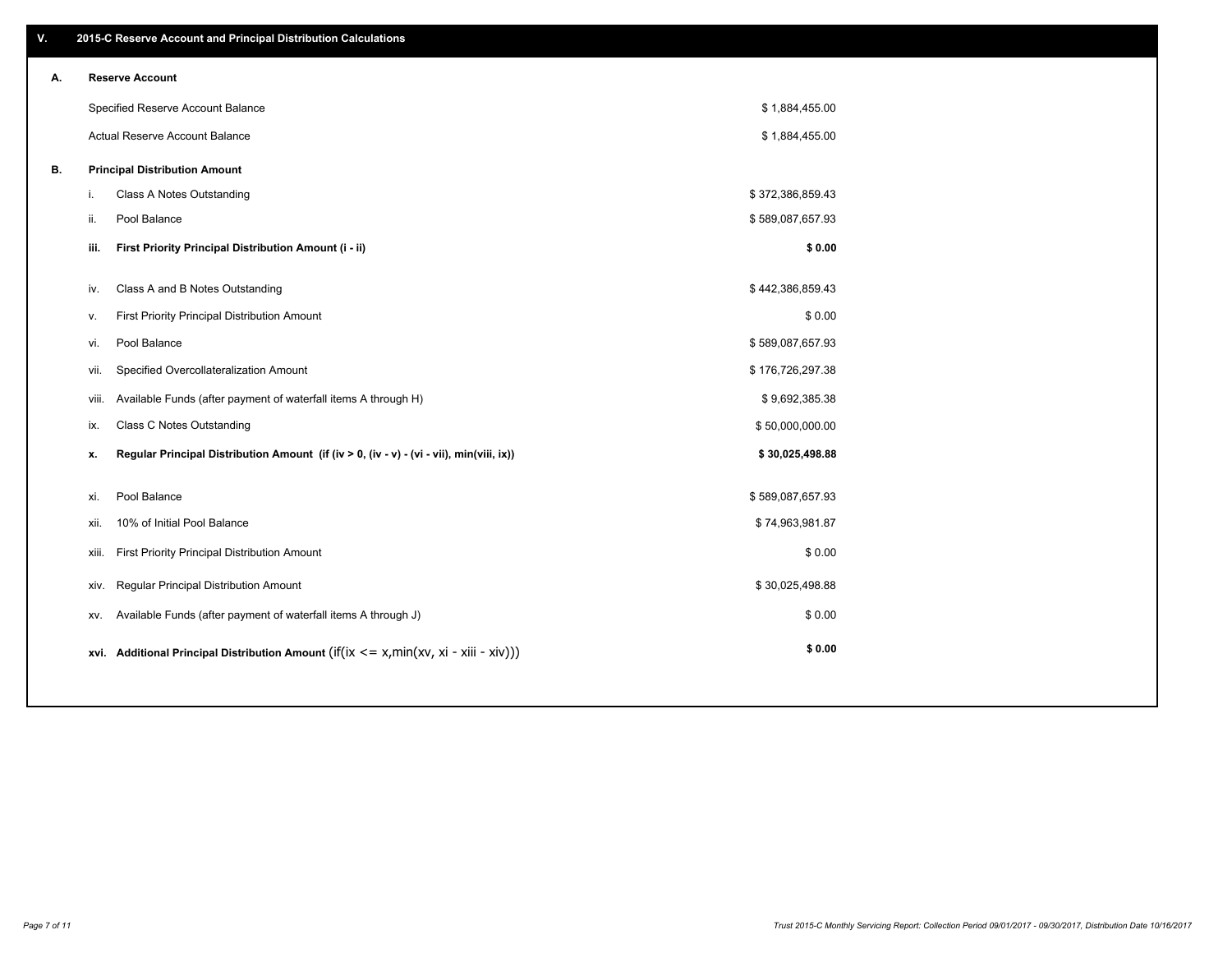| ۷. |       | 2015-C Reserve Account and Principal Distribution Calculations                             |                  |  |
|----|-------|--------------------------------------------------------------------------------------------|------------------|--|
| А. |       | <b>Reserve Account</b>                                                                     |                  |  |
|    |       | Specified Reserve Account Balance                                                          | \$1,884,455.00   |  |
|    |       | Actual Reserve Account Balance                                                             | \$1,884,455.00   |  |
| В. |       | <b>Principal Distribution Amount</b>                                                       |                  |  |
|    | i.    | Class A Notes Outstanding                                                                  | \$372,386,859.43 |  |
|    | ii.   | Pool Balance                                                                               | \$589,087,657.93 |  |
|    | iii.  | First Priority Principal Distribution Amount (i - ii)                                      | \$0.00           |  |
|    |       |                                                                                            |                  |  |
|    | iv.   | Class A and B Notes Outstanding                                                            | \$442,386,859.43 |  |
|    | v.    | First Priority Principal Distribution Amount                                               | \$0.00           |  |
|    | vi.   | Pool Balance                                                                               | \$589,087,657.93 |  |
|    | vii.  | Specified Overcollateralization Amount                                                     | \$176,726,297.38 |  |
|    | viii. | Available Funds (after payment of waterfall items A through H)                             | \$9,692,385.38   |  |
|    | ix.   | <b>Class C Notes Outstanding</b>                                                           | \$50,000,000.00  |  |
|    | x.    | Regular Principal Distribution Amount (if (iv > 0, (iv - v) - (vi - vii), min(viii, ix))   | \$30,025,498.88  |  |
|    | xi.   | Pool Balance                                                                               | \$589,087,657.93 |  |
|    |       | 10% of Initial Pool Balance                                                                |                  |  |
|    | xii.  |                                                                                            | \$74,963,981.87  |  |
|    | xiii. | First Priority Principal Distribution Amount                                               | \$0.00           |  |
|    |       | Regular Principal Distribution Amount<br>xiv.                                              | \$30,025,498.88  |  |
|    | XV.   | Available Funds (after payment of waterfall items A through J)                             | \$0.00           |  |
|    |       | xvi. Additional Principal Distribution Amount (if(ix $\lt$ = x, min(xv, xi - xiii - xiv))) | \$0.00           |  |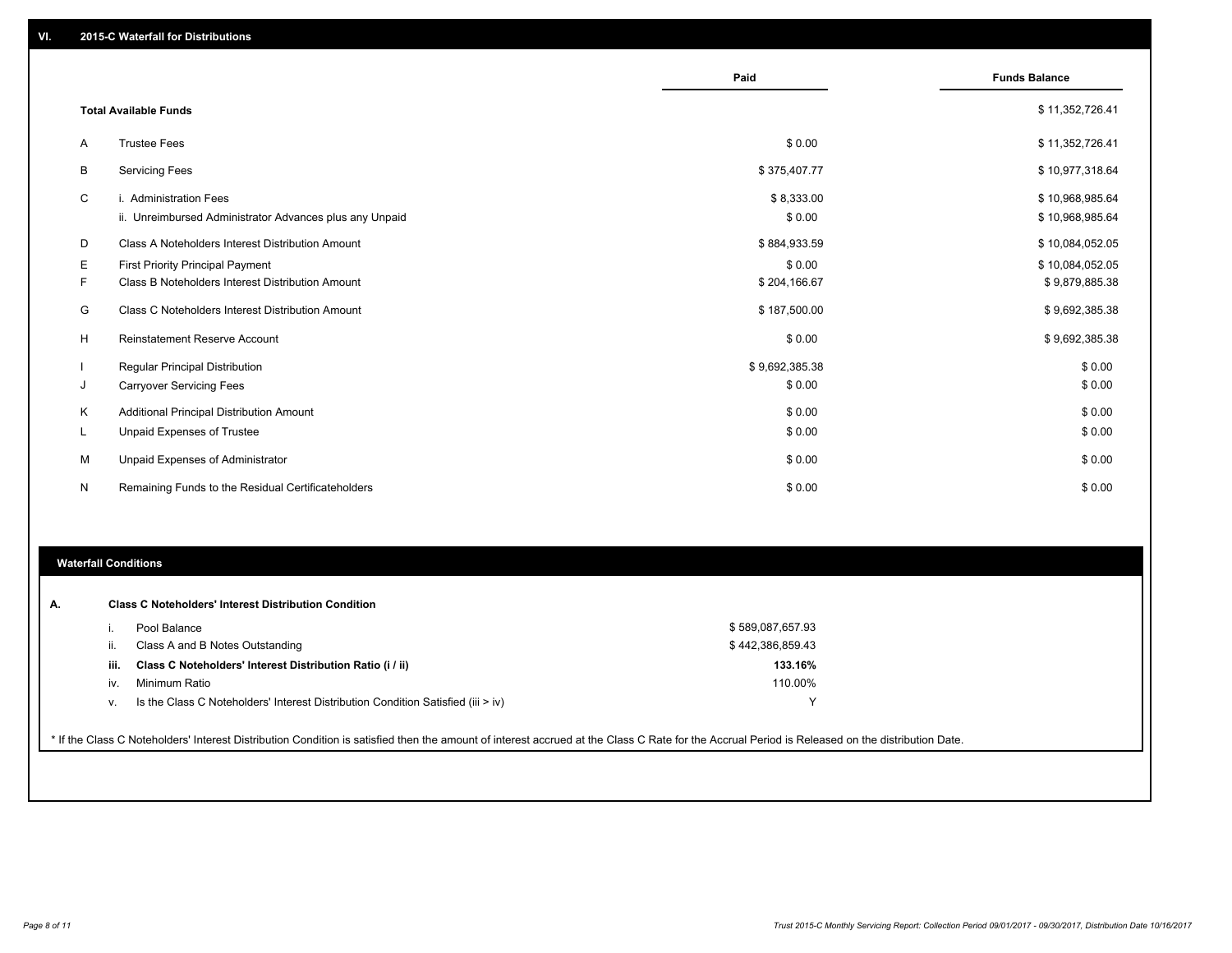|              |                                                         | Paid           | <b>Funds Balance</b> |
|--------------|---------------------------------------------------------|----------------|----------------------|
|              |                                                         |                |                      |
|              | <b>Total Available Funds</b>                            |                | \$11,352,726.41      |
| A            | <b>Trustee Fees</b>                                     | \$0.00         | \$11,352,726.41      |
| B            | <b>Servicing Fees</b>                                   | \$375,407.77   | \$10,977,318.64      |
| C            | i. Administration Fees                                  | \$8,333.00     | \$10,968,985.64      |
|              | ii. Unreimbursed Administrator Advances plus any Unpaid | \$0.00         | \$10,968,985.64      |
| D            | Class A Noteholders Interest Distribution Amount        | \$884,933.59   | \$10,084,052.05      |
| Е            | <b>First Priority Principal Payment</b>                 | \$0.00         | \$10,084,052.05      |
| F            | Class B Noteholders Interest Distribution Amount        | \$204,166.67   | \$9,879,885.38       |
| G            | Class C Noteholders Interest Distribution Amount        | \$187,500.00   | \$9,692,385.38       |
| H            | <b>Reinstatement Reserve Account</b>                    | \$0.00         | \$9,692,385.38       |
|              | Regular Principal Distribution                          | \$9,692,385.38 | \$0.00               |
| J            | <b>Carryover Servicing Fees</b>                         | \$0.00         | \$0.00               |
| Κ            | Additional Principal Distribution Amount                | \$0.00         | \$0.00               |
| L.           | Unpaid Expenses of Trustee                              | \$0.00         | \$0.00               |
| M            | Unpaid Expenses of Administrator                        | \$0.00         | \$0.00               |
| $\mathsf{N}$ | Remaining Funds to the Residual Certificateholders      | \$0.00         | \$0.00               |

# **Waterfall Conditions**

| Α. |      | <b>Class C Noteholders' Interest Distribution Condition</b>                      |                  |  |
|----|------|----------------------------------------------------------------------------------|------------------|--|
|    |      | Pool Balance                                                                     | \$589,087,657.93 |  |
|    |      | Class A and B Notes Outstanding                                                  | \$442,386,859.43 |  |
|    | iii. | Class C Noteholders' Interest Distribution Ratio (i / ii)                        | 133.16%          |  |
|    | IV   | Minimum Ratio                                                                    | 110.00%          |  |
|    | v.   | Is the Class C Noteholders' Interest Distribution Condition Satisfied (iii > iv) |                  |  |
|    |      |                                                                                  |                  |  |

\* If the Class C Noteholders' Interest Distribution Condition is satisfied then the amount of interest accrued at the Class C Rate for the Accrual Period is Released on the distribution Date.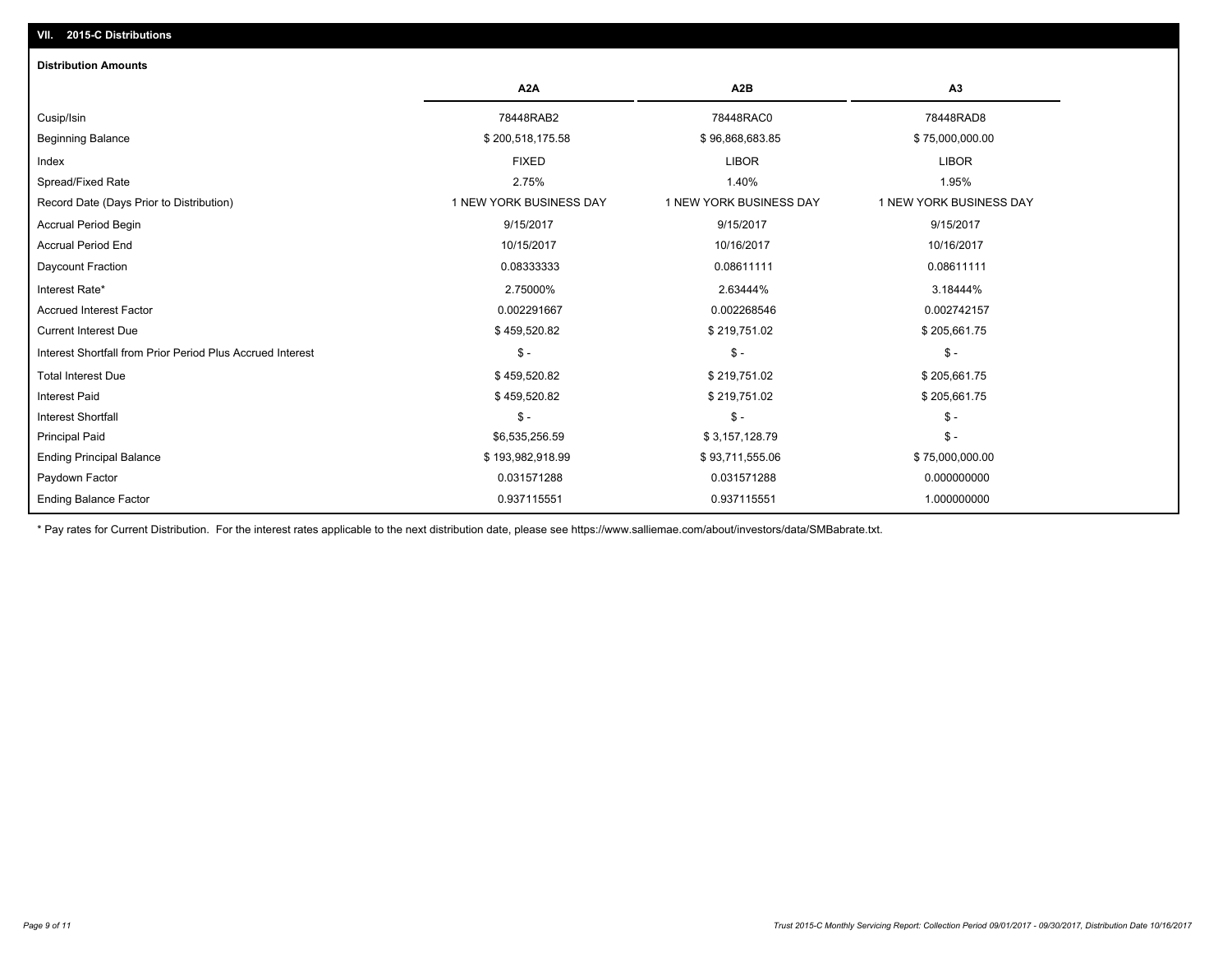# **VII. 2015-C Distributions**

| <b>Distribution Amounts</b>                                |                         |                         |                         |
|------------------------------------------------------------|-------------------------|-------------------------|-------------------------|
|                                                            | A <sub>2</sub> A        | A <sub>2</sub> B        | A3                      |
| Cusip/Isin                                                 | 78448RAB2               | 78448RAC0               | 78448RAD8               |
| <b>Beginning Balance</b>                                   | \$200,518,175.58        | \$96,868,683.85         | \$75,000,000.00         |
| Index                                                      | <b>FIXED</b>            | <b>LIBOR</b>            | <b>LIBOR</b>            |
| Spread/Fixed Rate                                          | 2.75%                   | 1.40%                   | 1.95%                   |
| Record Date (Days Prior to Distribution)                   | 1 NEW YORK BUSINESS DAY | 1 NEW YORK BUSINESS DAY | 1 NEW YORK BUSINESS DAY |
| <b>Accrual Period Begin</b>                                | 9/15/2017               | 9/15/2017               | 9/15/2017               |
| <b>Accrual Period End</b>                                  | 10/15/2017              | 10/16/2017              | 10/16/2017              |
| Daycount Fraction                                          | 0.08333333              | 0.08611111              | 0.08611111              |
| Interest Rate*                                             | 2.75000%                | 2.63444%                | 3.18444%                |
| <b>Accrued Interest Factor</b>                             | 0.002291667             | 0.002268546             | 0.002742157             |
| <b>Current Interest Due</b>                                | \$459,520.82            | \$219,751.02            | \$205,661.75            |
| Interest Shortfall from Prior Period Plus Accrued Interest | $\mathsf{\$}$ -         | $\frac{1}{2}$           | $\mathcal{S}$ -         |
| <b>Total Interest Due</b>                                  | \$459,520.82            | \$219,751.02            | \$205,661.75            |
| <b>Interest Paid</b>                                       | \$459,520.82            | \$219,751.02            | \$205,661.75            |
| <b>Interest Shortfall</b>                                  | $\mathsf{\$}$ -         | $$ -$                   | $$ -$                   |
| <b>Principal Paid</b>                                      | \$6,535,256.59          | \$3,157,128.79          | $$ -$                   |
| <b>Ending Principal Balance</b>                            | \$193,982,918.99        | \$93,711,555.06         | \$75,000,000.00         |
| Paydown Factor                                             | 0.031571288             | 0.031571288             | 0.000000000             |
| <b>Ending Balance Factor</b>                               | 0.937115551             | 0.937115551             | 1.000000000             |

\* Pay rates for Current Distribution. For the interest rates applicable to the next distribution date, please see https://www.salliemae.com/about/investors/data/SMBabrate.txt.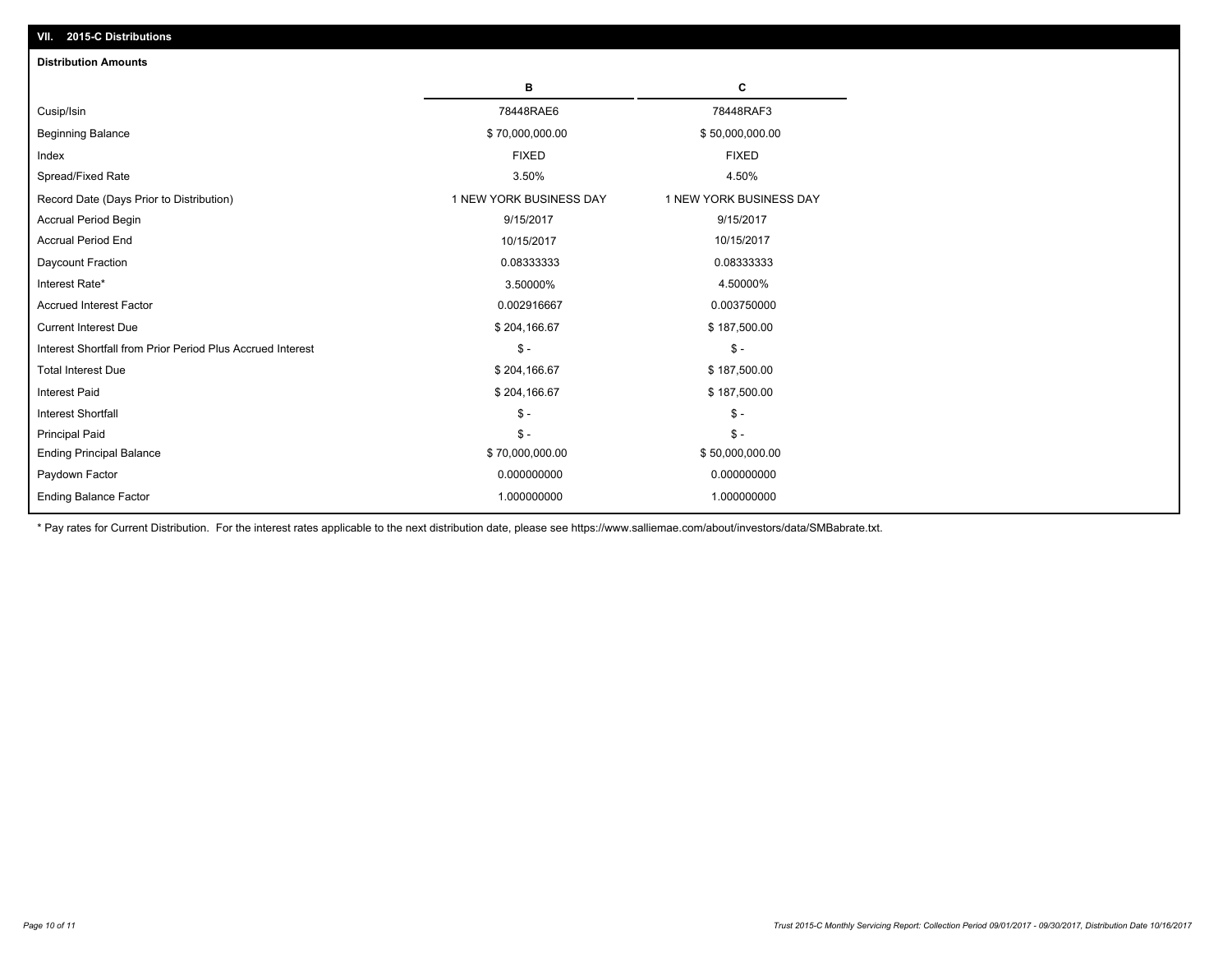| <b>Distribution Amounts</b>                                |                         |                         |
|------------------------------------------------------------|-------------------------|-------------------------|
|                                                            | в                       | c                       |
| Cusip/Isin                                                 | 78448RAE6               | 78448RAF3               |
| <b>Beginning Balance</b>                                   | \$70,000,000.00         | \$50,000,000.00         |
| Index                                                      | <b>FIXED</b>            | <b>FIXED</b>            |
| Spread/Fixed Rate                                          | 3.50%                   | 4.50%                   |
| Record Date (Days Prior to Distribution)                   | 1 NEW YORK BUSINESS DAY | 1 NEW YORK BUSINESS DAY |
| <b>Accrual Period Begin</b>                                | 9/15/2017               | 9/15/2017               |
| <b>Accrual Period End</b>                                  | 10/15/2017              | 10/15/2017              |
| Daycount Fraction                                          | 0.08333333              | 0.08333333              |
| Interest Rate*                                             | 3.50000%                | 4.50000%                |
| <b>Accrued Interest Factor</b>                             | 0.002916667             | 0.003750000             |
| <b>Current Interest Due</b>                                | \$204,166.67            | \$187,500.00            |
| Interest Shortfall from Prior Period Plus Accrued Interest | $\mathcal{S}$ -         | $\mathsf{\$}$ -         |
| <b>Total Interest Due</b>                                  | \$204,166.67            | \$187,500.00            |
| <b>Interest Paid</b>                                       | \$204,166.67            | \$187,500.00            |
| <b>Interest Shortfall</b>                                  | $\mathsf{\$}$ -         | $\mathsf{\$}$ -         |
| <b>Principal Paid</b>                                      | $\mathsf{\$}$ -         | $\mathsf{\$}$ -         |
| <b>Ending Principal Balance</b>                            | \$70,000,000.00         | \$50,000,000.00         |
| Paydown Factor                                             | 0.000000000             | 0.000000000             |
| <b>Ending Balance Factor</b>                               | 1.000000000             | 1.000000000             |

\* Pay rates for Current Distribution. For the interest rates applicable to the next distribution date, please see https://www.salliemae.com/about/investors/data/SMBabrate.txt.

**VII. 2015-C Distributions**